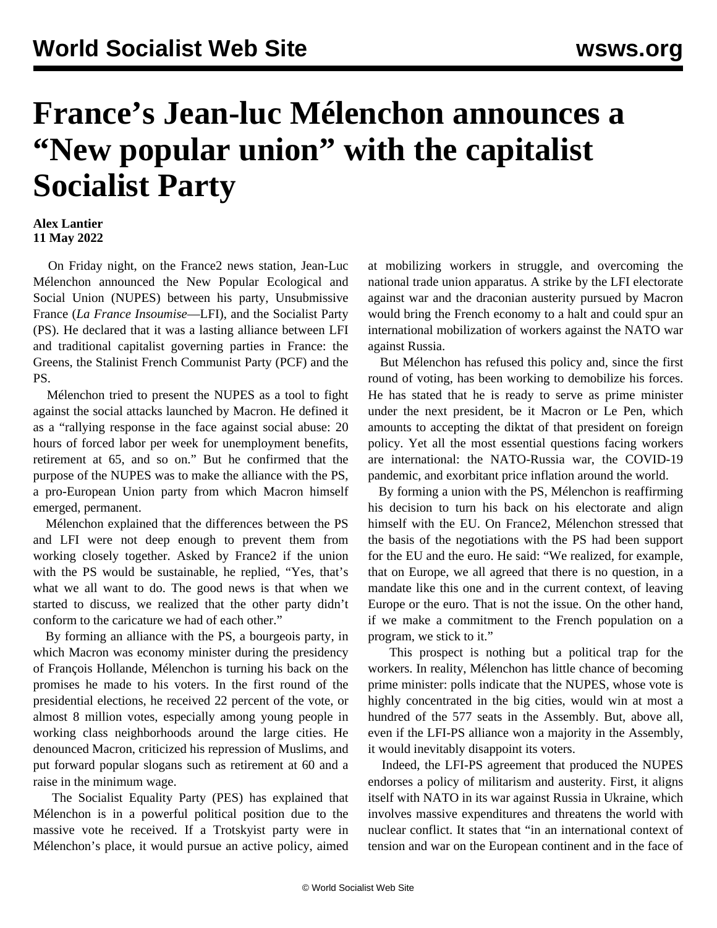## **France's Jean-luc Mélenchon announces a "New popular union" with the capitalist Socialist Party**

## **Alex Lantier 11 May 2022**

 On Friday night, on the France2 news station, Jean-Luc Mélenchon announced the New Popular Ecological and Social Union (NUPES) between his party, Unsubmissive France (*La France Insoumise*—LFI), and the Socialist Party (PS). He declared that it was a lasting alliance between LFI and traditional capitalist governing parties in France: the Greens, the Stalinist French Communist Party (PCF) and the PS.

 Mélenchon tried to present the NUPES as a tool to fight against the social attacks launched by Macron. He defined it as a "rallying response in the face against social abuse: 20 hours of forced labor per week for unemployment benefits, retirement at 65, and so on." But he confirmed that the purpose of the NUPES was to make the alliance with the PS, a pro-European Union party from which Macron himself emerged, permanent.

 Mélenchon explained that the differences between the PS and LFI were not deep enough to prevent them from working closely together. Asked by France2 if the union with the PS would be sustainable, he replied, "Yes, that's what we all want to do. The good news is that when we started to discuss, we realized that the other party didn't conform to the caricature we had of each other."

 By forming an alliance with the PS, a bourgeois party, in which Macron was economy minister during the presidency of François Hollande, Mélenchon is turning his back on the promises he made to his voters. In the first round of the presidential elections, he received 22 percent of the vote, or almost 8 million votes, especially among young people in working class neighborhoods around the large cities. He denounced Macron, criticized his repression of Muslims, and put forward popular slogans such as retirement at 60 and a raise in the minimum wage.

 The Socialist Equality Party (PES) has explained that Mélenchon is in a powerful political position due to the massive vote he received. If a Trotskyist party were in Mélenchon's place, it would pursue an active policy, aimed at mobilizing workers in struggle, and overcoming the national trade union apparatus. A strike by the LFI electorate against war and the draconian austerity pursued by Macron would bring the French economy to a halt and could spur an international mobilization of workers against the NATO war against Russia.

 But Mélenchon has refused this policy and, since the first round of voting, has been working to demobilize his forces. He has stated that he is ready to serve as prime minister under the next president, be it Macron or Le Pen, which amounts to accepting the diktat of that president on foreign policy. Yet all the most essential questions facing workers are international: the NATO-Russia war, the COVID-19 pandemic, and exorbitant price inflation around the world.

 By forming a union with the PS, Mélenchon is reaffirming his decision to turn his back on his electorate and align himself with the EU. On France2, Mélenchon stressed that the basis of the negotiations with the PS had been support for the EU and the euro. He said: "We realized, for example, that on Europe, we all agreed that there is no question, in a mandate like this one and in the current context, of leaving Europe or the euro. That is not the issue. On the other hand, if we make a commitment to the French population on a program, we stick to it."

 This prospect is nothing but a political trap for the workers. In reality, Mélenchon has little chance of becoming prime minister: polls indicate that the NUPES, whose vote is highly concentrated in the big cities, would win at most a hundred of the 577 seats in the Assembly. But, above all, even if the LFI-PS alliance won a majority in the Assembly, it would inevitably disappoint its voters.

 Indeed, the LFI-PS agreement that produced the NUPES endorses a policy of militarism and austerity. First, it aligns itself with NATO in its war against Russia in Ukraine, which involves massive expenditures and threatens the world with nuclear conflict. It states that "in an international context of tension and war on the European continent and in the face of